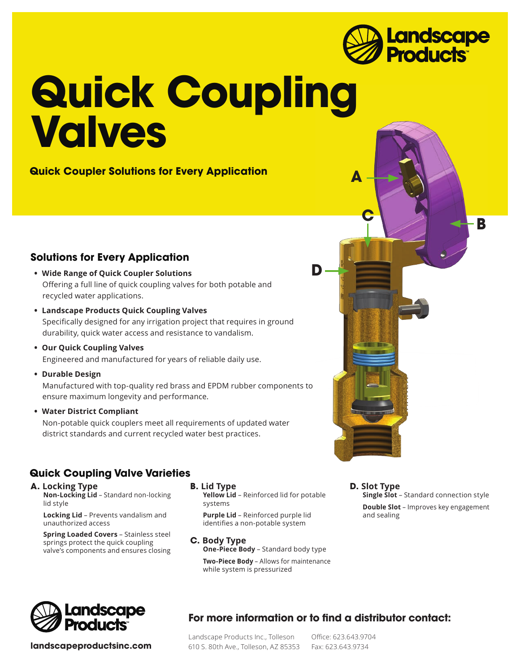

# **Quick Coupling Valves**

**Quick Coupler Solutions for Every Application**

### **Solutions for Every Application**

- **• Wide Range of Quick Coupler Solutions** Offering a full line of quick coupling valves for both potable and recycled water applications.
- **• Landscape Products Quick Coupling Valves** Specifically designed for any irrigation project that requires in ground durability, quick water access and resistance to vandalism.
- **• Our Quick Coupling Valves** Engineered and manufactured for years of reliable daily use.
- **• Durable Design**

 Manufactured with top-quality red brass and EPDM rubber components to ensure maximum longevity and performance.

**• Water District Compliant**

Non-potable quick couplers meet all requirements of updated water district standards and current recycled water best practices.

### **Quick Coupling Valve Varieties**

**A. Locking Type Non-Locking Lid** – Standard non-locking lid style

**Locking Lid** – Prevents vandalism and unauthorized access

**Spring Loaded Covers** – Stainless steel springs protect the quick coupling valve's components and ensures closing

**B. Lid Type**

**Yellow Lid** – Reinforced lid for potable systems

**Purple Lid** – Reinforced purple lid identifies a non-potable system

**C. Body Type One-Piece Body** – Standard body type **Two-Piece Body** – Allows for maintenance





**landscapeproductsinc.com**

## **For more information or to find a distributor contact:**

Landscape Products Inc., Tolleson 610 S. 80th Ave., Tolleson, AZ 85353

Office: 623.643.9704 Fax: 623.643.9734